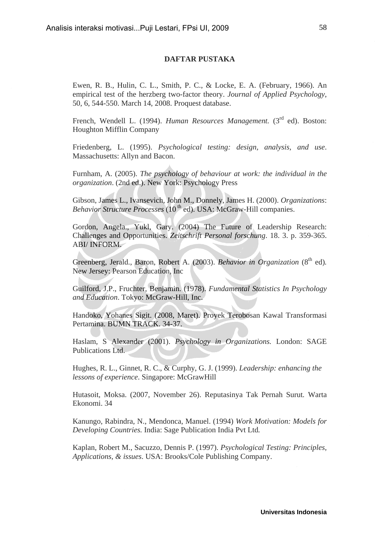## **DAFTAR PUSTAKA**

Ewen, R. B., Hulin, C. L., Smith, P. C., & Locke, E. A. (February, 1966). An empirical test of the herzberg two-factor theory. *Journal of Applied Psychology*, 50, 6, 544-550. March 14, 2008. Proquest database.

French, Wendell L. (1994). *Human Resources Management*. (3<sup>rd</sup> ed). Boston: Houghton Mifflin Company

Friedenberg, L. (1995). *Psychological testing: design, analysis, and use*. Massachusetts: Allyn and Bacon.

Furnham, A. (2005). *The psychology of behaviour at work: the individual in the organization*. (2nd ed.). New York: Psychology Press

Gibson, James L., Ivansevich, John M., Donnely, James H. (2000). *Organizations*: *Behavior Structure Processes* (10<sup>th</sup> ed). USA: McGraw-Hill companies.

Gordon, Angela., Yukl, Gary. (2004) The Future of Leadership Research: Challenges and Opportunities. *Zeitschrift Personal forschung*. 18. 3. p. 359-365. ABI/ INFORM.

Greenberg, Jerald., Baron, Robert A. (2003). *Behavior in Organization* (8<sup>th</sup> ed). New Jersey: Pearson Education, Inc

Guilford, J.P., Fruchter, Benjamin. (1978). *Fundamental Statistics In Psychology and Education*. Tokyo: McGraw-Hill, Inc.

Handoko, Yohanes Sigit. (2008, Maret). Proyek Terobosan Kawal Transformasi Pertamina. BUMN TRACK. 34-37.

Haslam, S Alexander (2001). *Psychology in Organizations.* London: SAGE Publications Ltd.

Hughes, R. L., Ginnet, R. C., & Curphy, G. J. (1999). *Leadership: enhancing the lessons of experience*. Singapore: McGrawHill

Hutasoit, Moksa. (2007, November 26). Reputasinya Tak Pernah Surut*.* Warta Ekonomi. 34

Kanungo, Rabindra, N., Mendonca, Manuel. (1994) *Work Motivation: Models for Developing Countries.* India: Sage Publication India Pvt Ltd*.*

Kaplan, Robert M., Sacuzzo, Dennis P. (1997). *Psychological Testing: Principles, Applications, & issues*. USA: Brooks/Cole Publishing Company.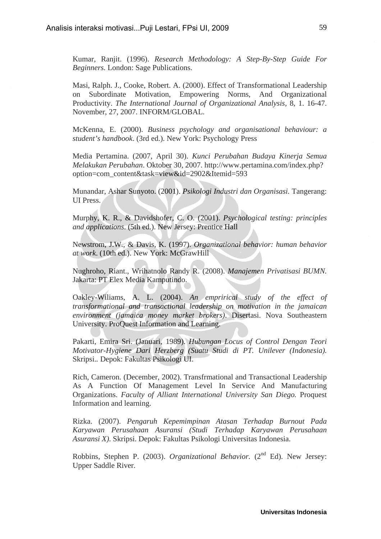Kumar, Ranjit. (1996). *Research Methodology: A Step-By-Step Guide For Beginners.* London: Sage Publications.

Masi, Ralph. J., Cooke, Robert. A. (2000). Effect of Transformational Leadership on Subordinate Motivation, Empowering Norms, And Organizational Productivity. *The International Journal of Organizational Analysis,* 8, 1. 16-47. November, 27, 2007. INFORM/GLOBAL.

McKenna, E. (2000). *Business psychology and organisational behaviour: a student's handbook*. (3rd ed.). New York: Psychology Press

Media Pertamina. (2007, April 30). *Kunci Perubahan Budaya Kinerja Semua Melakukan Perubahan*. Oktober 30, 2007. http://www.pertamina.com/index.php? option=com\_content&task=view&id=2902&Itemid=593

Munandar, Ashar Sunyoto. (2001). *Psikologi Industri dan Organisasi.* Tangerang: UI Press.

Murphy, K. R., & Davidshofer, C. O. (2001). *Psychological testing: principles and applications*. (5th ed.). New Jersey: Prentice Hall

Newstrom, J.W., & Davis, K. (1997). *Organizational behavior: human behavior at work*. (10th ed.). New York: McGrawHill

Nughroho, Riant., Wrihatnolo Randy R. (2008). *Manajemen Privatisasi BUMN.*  Jakarta: PT Elex Media Kamputindo.

Oakley-Wiliams, A. L. (2004). *An emprirical study of the effect of transformational and transactional leadership on motivation in the jamaican environment (jamaica money market brokers)*. Disertasi. Nova Southeastern University. ProQuest Information and Learning.

Pakarti, Emira Sri. (Januari, 1989). *Hubungan Locus of Control Dengan Teori Motivator-Hygiene Dari Herzberg (Suatu Studi di PT. Unilever (Indonesia).*  Skripsi.*.* Depok: Fakultas Psikologi UI.

Rich, Cameron. (December, 2002). Transfrmational and Transactional Leadership As A Function Of Management Level In Service And Manufacturing Organizations. *Faculty of Alliant International University San Diego.* Proquest Information and learning.

Rizka. (2007). *Pengaruh Kepemimpinan Atasan Terhadap Burnout Pada Karyawan Perusahaan Asuransi (Studi Terhadap Karyawan Perusahaan Asuransi X)*. Skripsi. Depok: Fakultas Psikologi Universitas Indonesia.

Robbins, Stephen P. (2003). *Organizational Behavior*. (2<sup>nd</sup> Ed). New Jersey: Upper Saddle River.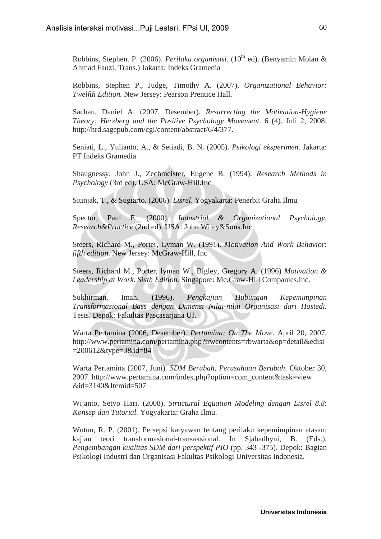Robbins, Stephen. P. (2006). *Perilaku organisasi*. (10<sup>th</sup> ed). (Benyamin Molan & Ahmad Fauzi, Trans.) Jakarta: Indeks Gramedia

Robbins, Stephen P., Judge, Timothy A. (2007). *Organizational Behavior: Twelfth Edition.* New Jersey: Pearson Prentice Hall.

Sachau, Daniel A. (2007, Desember). *Resurrecting the Motivation-Hygiene Theory: Herzberg and the Positive Psychology Movement*. 6 (4). Juli 2, 2008. http://hrd.sagepub.com/cgi/content/abstract/6/4/377.

Seniati, L., Yulianto, A., & Setiadi, B. N. (2005). *Psikologi eksperimen*. Jakarta: PT Indeks Gramedia

Shaugnessy, John J., Zechmeister, Eugene B. (1994). *Research Methods in Psychology* (3rd ed). USA: McGraw-Hill.Inc

Sitinjak, T., & Sugiarto. (2006). *Lisrel*. Yogyakarta: Penerbit Graha Ilmu

Spector, Paul E. (2000). *Industrial & Organizational Psychology. Research&Practice* (2nd ed). USA: John Wiley&Sons.Inc

Steers, Richard M., Porter, Lyman W. (1991). *Motivation And Work Behavior*: *fifth edition*. New Jersey: McGraw-Hill, Inc

Steers, Richard M., Porter, lyman W., Bigley, Gregory A. (1996) *Motivation & Leadership at Work. Sixth Edition.* Singapore: Mc.Graw-Hill Companies.Inc.

Sukhirman, Iman. (1996). *Pengkajian Hubungan Kepemimpinan Transformasional Bass dengan Dimensi Nilai-nilai Organisasi dari Hostedi.* Tesis. Depok: Fakultas Pascasarjana UI.

Warta Pertamina (2006, Desember). *Pertamina: On The Move.* April 20, 2007*.*  http://www.pertamina.com/pertamina.php?irwcontents=rbwarta&op=detail&edisi =200612&type=3&id=84

Warta Pertamina (2007, Juni). *SDM Berubah, Perusahaan Berubah*. Oktober 30, 2007. http://www.pertamina.com/index.php?option=com\_content&task=view &id=3140&Itemid=507

Wijanto, Setyo Hari. (2008). *Structural Equation Modeling dengan Lisrel 8.8*: *Konsep dan Tutorial.* Yogyakarta: Graha Ilmu.

Wutun, R. P. (2001). Persepsi karyawan tentang perilaku kepemimpinan atasan: kajian teori transformasional-transaksional. In Sjabadhyni, B. (Eds.), *Pengembangan kualitas SDM dari perspektif PIO* (pp. 343 -375). Depok: Bagian Psikologi Industri dan Organisasi Fakultas Psikologi Universitas Indonesia.